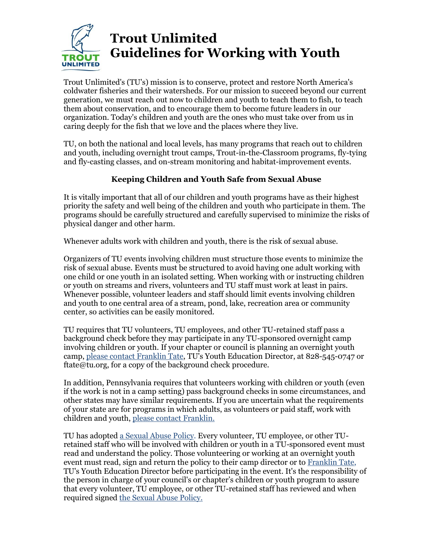

## **Trout Unlimited Guidelines for Working with Youth**

Trout Unlimited's (TU's) mission is to conserve, protect and restore North America's coldwater fisheries and their watersheds. For our mission to succeed beyond our current generation, we must reach out now to children and youth to teach them to fish, to teach them about conservation, and to encourage them to become future leaders in our organization. Today's children and youth are the ones who must take over from us in caring deeply for the fish that we love and the places where they live.

TU, on both the national and local levels, has many programs that reach out to children and youth, including overnight trout camps, Trout-in-the-Classroom programs, fly-tying and fly-casting classes, and on-stream monitoring and habitat-improvement events.

## **Keeping Children and Youth Safe from Sexual Abuse**

It is vitally important that all of our children and youth programs have as their highest priority the safety and well being of the children and youth who participate in them. The programs should be carefully structured and carefully supervised to minimize the risks of physical danger and other harm.

Whenever adults work with children and youth, there is the risk of sexual abuse.

Organizers of TU events involving children must structure those events to minimize the risk of sexual abuse. Events must be structured to avoid having one adult working with one child or one youth in an isolated setting. When working with or instructing children or youth on streams and rivers, volunteers and TU staff must work at least in pairs. Whenever possible, volunteer leaders and staff should limit events involving children and youth to one central area of a stream, pond, lake, recreation area or community center, so activities can be easily monitored.

TU requires that TU volunteers, TU employees, and other TU-retained staff pass a background check before they may participate in any TU-sponsored overnight camp involving children or youth. If your chapter or council is planning an overnight youth camp, [please contact Franklin Tate,](mailto:ftate@tu.org) TU's Youth Education Director, at 828-545-0747 or ftate@tu.org, for a copy of the background check procedure.

In addition, Pennsylvania requires that volunteers working with children or youth (even if the work is not in a camp setting) pass background checks in some circumstances, and other states may have similar requirements. If you are uncertain what the requirements of your state are for programs in which adults, as volunteers or paid staff, work with children and youth[, please contact Franklin.](mailto:ftate@tu.org) 

TU has adopted [a Sexual Abuse Policy.](https://www.tu.org/wp-content/uploads/2019/01/TU_Sexual_Abuse_Policy.pdf) Every volunteer, TU employee, or other TUretained staff who will be involved with children or youth in a TU-sponsored event must read and understand the policy. Those volunteering or working at an overnight youth event must read, sign and return the policy to their camp director or to [Franklin Tate,](mailto:ftate@tu.org) TU's Youth Education Director before participating in the event. It's the responsibility of the person in charge of your council's or chapter's children or youth program to assure that every volunteer, TU employee, or other TU-retained staff has reviewed and when required signed the [Sexual Abuse Policy.](https://www.tu.org/wp-content/uploads/2019/01/TU_Sexual_Abuse_Policy.pdf)